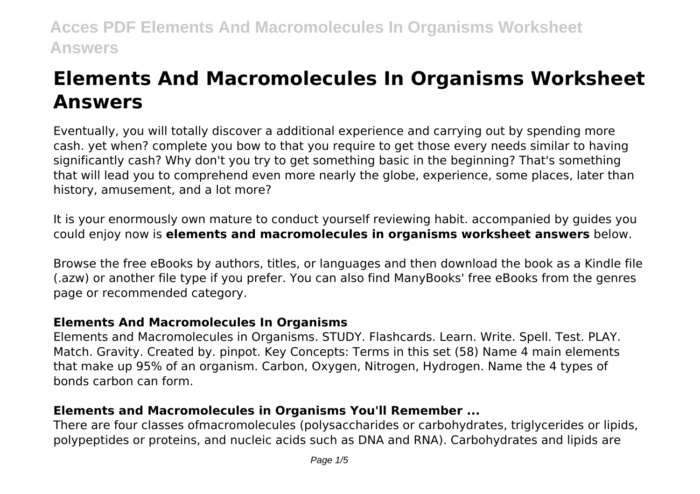# **Elements And Macromolecules In Organisms Worksheet Answers**

Eventually, you will totally discover a additional experience and carrying out by spending more cash. yet when? complete you bow to that you require to get those every needs similar to having significantly cash? Why don't you try to get something basic in the beginning? That's something that will lead you to comprehend even more nearly the globe, experience, some places, later than history, amusement, and a lot more?

It is your enormously own mature to conduct yourself reviewing habit. accompanied by guides you could enjoy now is **elements and macromolecules in organisms worksheet answers** below.

Browse the free eBooks by authors, titles, or languages and then download the book as a Kindle file (.azw) or another file type if you prefer. You can also find ManyBooks' free eBooks from the genres page or recommended category.

#### **Elements And Macromolecules In Organisms**

Elements and Macromolecules in Organisms. STUDY. Flashcards. Learn. Write. Spell. Test. PLAY. Match. Gravity. Created by. pinpot. Key Concepts: Terms in this set (58) Name 4 main elements that make up 95% of an organism. Carbon, Oxygen, Nitrogen, Hydrogen. Name the 4 types of bonds carbon can form.

## **Elements and Macromolecules in Organisms You'll Remember ...**

There are four classes ofmacromolecules (polysaccharides or carbohydrates, triglycerides or lipids, polypeptides or proteins, and nucleic acids such as DNA and RNA). Carbohydrates and lipids are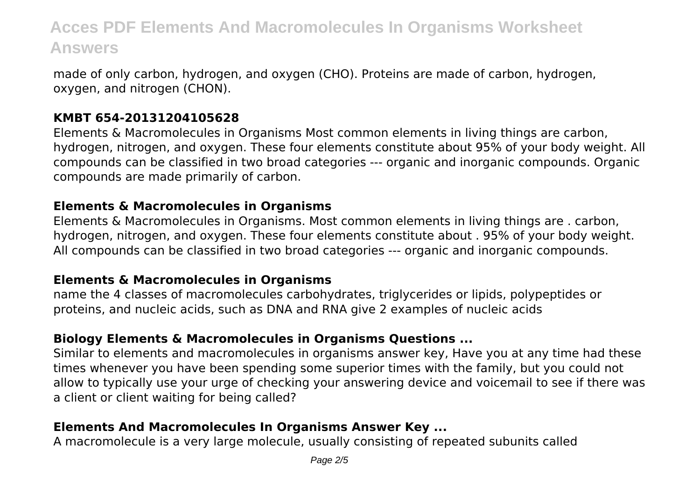made of only carbon, hydrogen, and oxygen (CHO). Proteins are made of carbon, hydrogen, oxygen, and nitrogen (CHON).

#### **KMBT 654-20131204105628**

Elements & Macromolecules in Organisms Most common elements in living things are carbon, hydrogen, nitrogen, and oxygen. These four elements constitute about 95% of your body weight. All compounds can be classified in two broad categories --- organic and inorganic compounds. Organic compounds are made primarily of carbon.

#### **Elements & Macromolecules in Organisms**

Elements & Macromolecules in Organisms. Most common elements in living things are . carbon, hydrogen, nitrogen, and oxygen. These four elements constitute about . 95% of your body weight. All compounds can be classified in two broad categories --- organic and inorganic compounds.

#### **Elements & Macromolecules in Organisms**

name the 4 classes of macromolecules carbohydrates, triglycerides or lipids, polypeptides or proteins, and nucleic acids, such as DNA and RNA give 2 examples of nucleic acids

## **Biology Elements & Macromolecules in Organisms Questions ...**

Similar to elements and macromolecules in organisms answer key, Have you at any time had these times whenever you have been spending some superior times with the family, but you could not allow to typically use your urge of checking your answering device and voicemail to see if there was a client or client waiting for being called?

## **Elements And Macromolecules In Organisms Answer Key ...**

A macromolecule is a very large molecule, usually consisting of repeated subunits called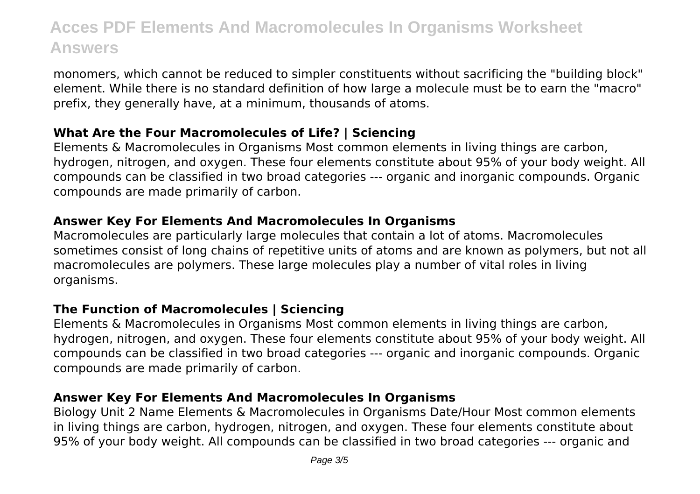monomers, which cannot be reduced to simpler constituents without sacrificing the "building block" element. While there is no standard definition of how large a molecule must be to earn the "macro" prefix, they generally have, at a minimum, thousands of atoms.

## **What Are the Four Macromolecules of Life? | Sciencing**

Elements & Macromolecules in Organisms Most common elements in living things are carbon, hydrogen, nitrogen, and oxygen. These four elements constitute about 95% of your body weight. All compounds can be classified in two broad categories --- organic and inorganic compounds. Organic compounds are made primarily of carbon.

### **Answer Key For Elements And Macromolecules In Organisms**

Macromolecules are particularly large molecules that contain a lot of atoms. Macromolecules sometimes consist of long chains of repetitive units of atoms and are known as polymers, but not all macromolecules are polymers. These large molecules play a number of vital roles in living organisms.

#### **The Function of Macromolecules | Sciencing**

Elements & Macromolecules in Organisms Most common elements in living things are carbon, hydrogen, nitrogen, and oxygen. These four elements constitute about 95% of your body weight. All compounds can be classified in two broad categories --- organic and inorganic compounds. Organic compounds are made primarily of carbon.

#### **Answer Key For Elements And Macromolecules In Organisms**

Biology Unit 2 Name Elements & Macromolecules in Organisms Date/Hour Most common elements in living things are carbon, hydrogen, nitrogen, and oxygen. These four elements constitute about 95% of your body weight. All compounds can be classified in two broad categories --- organic and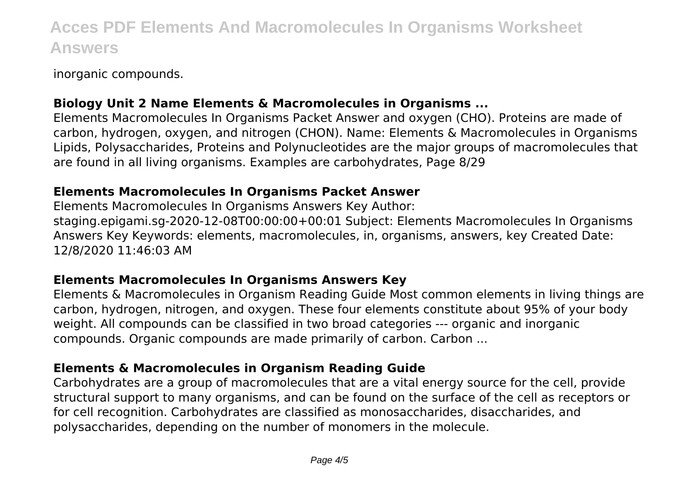inorganic compounds.

## **Biology Unit 2 Name Elements & Macromolecules in Organisms ...**

Elements Macromolecules In Organisms Packet Answer and oxygen (CHO). Proteins are made of carbon, hydrogen, oxygen, and nitrogen (CHON). Name: Elements & Macromolecules in Organisms Lipids, Polysaccharides, Proteins and Polynucleotides are the major groups of macromolecules that are found in all living organisms. Examples are carbohydrates, Page 8/29

#### **Elements Macromolecules In Organisms Packet Answer**

Elements Macromolecules In Organisms Answers Key Author: staging.epigami.sg-2020-12-08T00:00:00+00:01 Subject: Elements Macromolecules In Organisms Answers Key Keywords: elements, macromolecules, in, organisms, answers, key Created Date: 12/8/2020 11:46:03 AM

#### **Elements Macromolecules In Organisms Answers Key**

Elements & Macromolecules in Organism Reading Guide Most common elements in living things are carbon, hydrogen, nitrogen, and oxygen. These four elements constitute about 95% of your body weight. All compounds can be classified in two broad categories --- organic and inorganic compounds. Organic compounds are made primarily of carbon. Carbon ...

#### **Elements & Macromolecules in Organism Reading Guide**

Carbohydrates are a group of macromolecules that are a vital energy source for the cell, provide structural support to many organisms, and can be found on the surface of the cell as receptors or for cell recognition. Carbohydrates are classified as monosaccharides, disaccharides, and polysaccharides, depending on the number of monomers in the molecule.